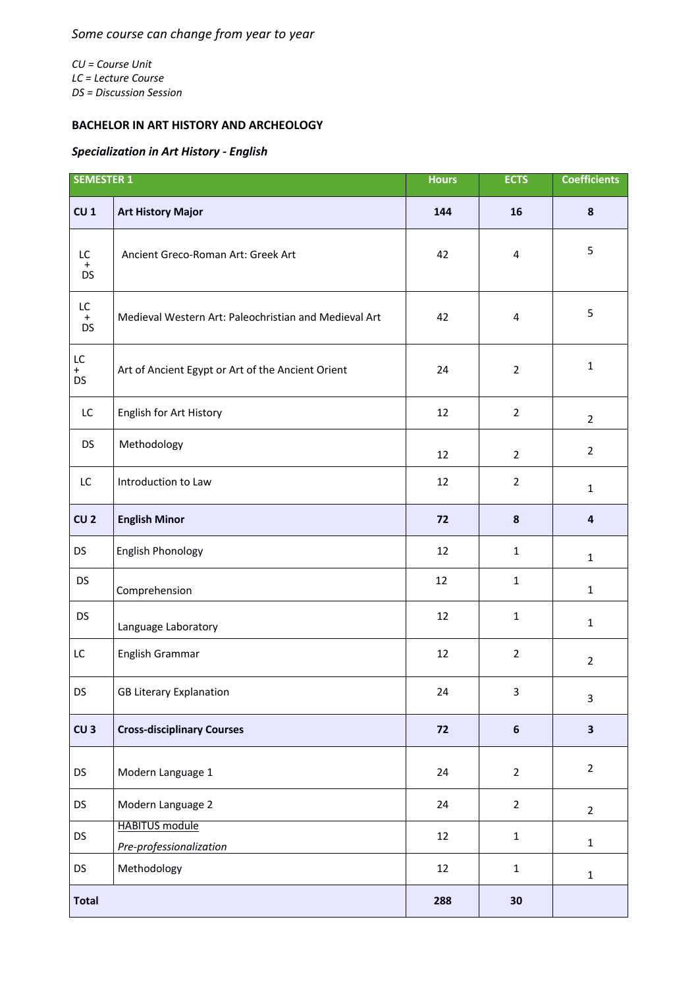*CU = Course Unit LC = Lecture Course DS = Discussion Session*

## **BACHELOR IN ART HISTORY AND ARCHEOLOGY**

## *Specialization in Art History - English*

| <b>SEMESTER 1</b>            |                                                       | <b>Hours</b> | <b>ECTS</b>             | <b>Coefficients</b>     |
|------------------------------|-------------------------------------------------------|--------------|-------------------------|-------------------------|
| CU <sub>1</sub>              | <b>Art History Major</b>                              | 144          | 16                      | $\boldsymbol{8}$        |
| LC<br>$\ddot{}$<br><b>DS</b> | Ancient Greco-Roman Art: Greek Art                    | 42           | 4                       | 5                       |
| LC<br>$+$<br><b>DS</b>       | Medieval Western Art: Paleochristian and Medieval Art | 42           | $\overline{\mathbf{4}}$ | 5                       |
| LC<br>$+$<br><b>DS</b>       | Art of Ancient Egypt or Art of the Ancient Orient     | 24           | $\overline{2}$          | $\mathbf{1}$            |
| LC                           | English for Art History                               | 12           | $\overline{2}$          | $\overline{2}$          |
| <b>DS</b>                    | Methodology                                           | 12           | $\overline{2}$          | $\overline{2}$          |
| LC                           | Introduction to Law                                   | 12           | $\overline{2}$          | $\mathbf{1}$            |
| CU <sub>2</sub>              | <b>English Minor</b>                                  | 72           | 8                       | 4                       |
| <b>DS</b>                    | English Phonology                                     | 12           | $\mathbf{1}$            | $\mathbf 1$             |
| <b>DS</b>                    | Comprehension                                         | 12           | $\mathbf{1}$            | $\mathbf{1}$            |
| <b>DS</b>                    | Language Laboratory                                   | 12           | $\mathbf{1}$            | $\mathbf 1$             |
| LC                           | English Grammar                                       | 12           | $\overline{2}$          | $\overline{2}$          |
| <b>DS</b>                    | <b>GB Literary Explanation</b>                        | 24           | 3                       | 3                       |
| CU <sub>3</sub>              | <b>Cross-disciplinary Courses</b>                     | 72           | $\boldsymbol{6}$        | $\overline{\mathbf{3}}$ |
| <b>DS</b>                    | Modern Language 1                                     | 24           | $\overline{2}$          | $\overline{2}$          |
| DS                           | Modern Language 2                                     | 24           | $\overline{2}$          | $\overline{2}$          |
| <b>DS</b>                    | <b>HABITUS</b> module<br>Pre-professionalization      | 12           | $\mathbf 1$             | $\mathbf{1}$            |
| <b>DS</b>                    | Methodology                                           | 12           | $\mathbf 1$             | $\mathbf{1}$            |
| <b>Total</b>                 |                                                       | 288          | 30                      |                         |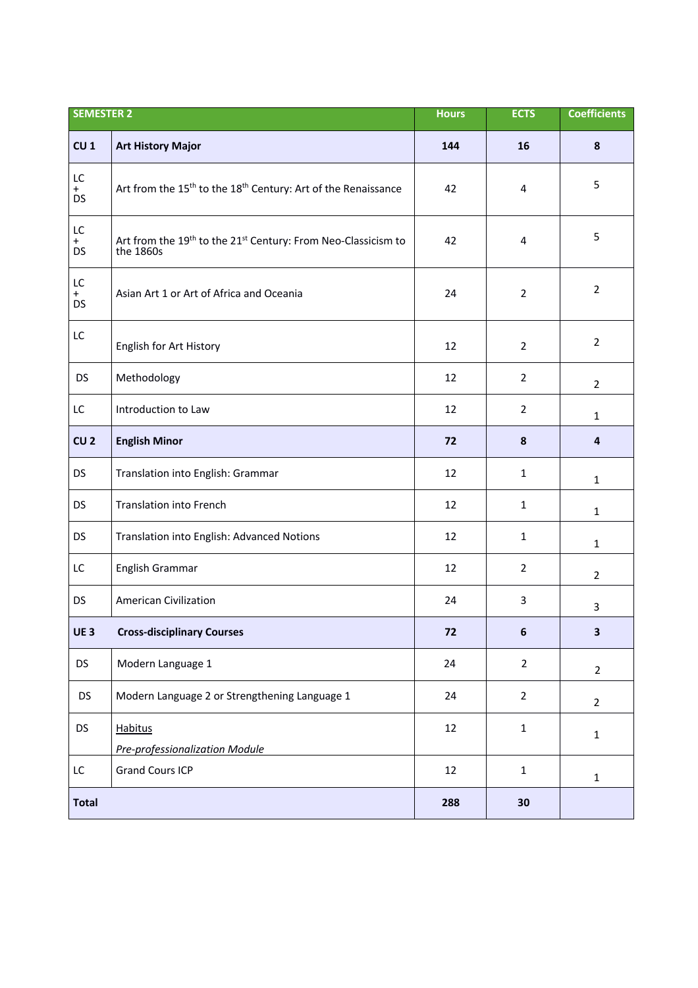| <b>SEMESTER 2</b>      |                                                                                                    | <b>Hours</b> | <b>ECTS</b>    | <b>Coefficients</b> |
|------------------------|----------------------------------------------------------------------------------------------------|--------------|----------------|---------------------|
| CU <sub>1</sub>        | <b>Art History Major</b>                                                                           | 144          | 16             | 8                   |
| LC<br>$+$<br><b>DS</b> | Art from the 15 <sup>th</sup> to the 18 <sup>th</sup> Century: Art of the Renaissance              | 42           | 4              | 5                   |
| LC<br>$+$<br><b>DS</b> | Art from the 19 <sup>th</sup> to the 21 <sup>st</sup> Century: From Neo-Classicism to<br>the 1860s | 42           | 4              | 5                   |
| LC<br>$+$<br><b>DS</b> | Asian Art 1 or Art of Africa and Oceania                                                           | 24           | $\overline{2}$ | $\overline{2}$      |
| LC                     | English for Art History                                                                            | 12           | $\overline{2}$ | $\overline{2}$      |
| <b>DS</b>              | Methodology                                                                                        | 12           | $\overline{2}$ | $\overline{2}$      |
| LC                     | Introduction to Law                                                                                | 12           | $\overline{2}$ | $\mathbf{1}$        |
| CU <sub>2</sub>        | <b>English Minor</b>                                                                               | 72           | 8              | 4                   |
| <b>DS</b>              | Translation into English: Grammar                                                                  | 12           | $\mathbf{1}$   | $\mathbf{1}$        |
| <b>DS</b>              | <b>Translation into French</b>                                                                     | 12           | $\mathbf{1}$   | $\mathbf{1}$        |
| <b>DS</b>              | Translation into English: Advanced Notions                                                         | 12           | 1              | $\mathbf{1}$        |
| LC                     | English Grammar                                                                                    | 12           | $\overline{2}$ | $\overline{2}$      |
| <b>DS</b>              | <b>American Civilization</b>                                                                       | 24           | 3              | 3                   |
| UE <sub>3</sub>        | <b>Cross-disciplinary Courses</b>                                                                  | 72           | 6              | 3.                  |
| <b>DS</b>              | Modern Language 1                                                                                  | 24           | $\overline{2}$ | $\overline{2}$      |
| <b>DS</b>              | Modern Language 2 or Strengthening Language 1                                                      | 24           | $\overline{2}$ | $\overline{2}$      |
| <b>DS</b>              | <b>Habitus</b><br>Pre-professionalization Module                                                   | 12           | $\mathbf 1$    | $\mathbf 1$         |
| LC                     | <b>Grand Cours ICP</b>                                                                             | 12           | $\mathbf{1}$   | $\mathbf 1$         |
| <b>Total</b>           |                                                                                                    | 288          | 30             |                     |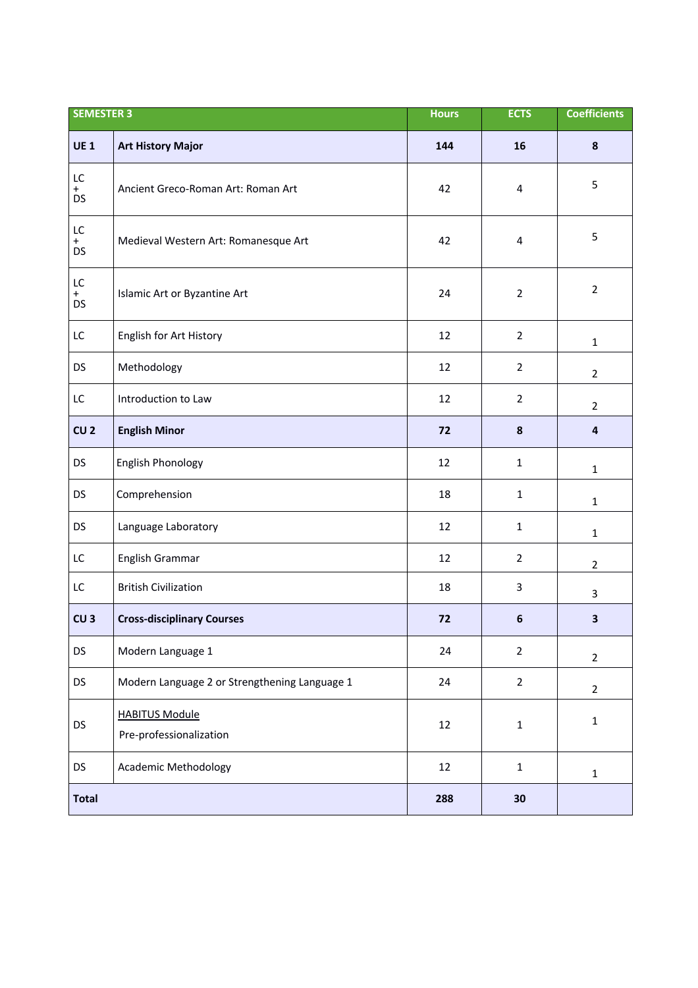| <b>SEMESTER 3</b>      |                                                  | <b>Hours</b> | <b>ECTS</b>      | <b>Coefficients</b>     |
|------------------------|--------------------------------------------------|--------------|------------------|-------------------------|
| <b>UE1</b>             | <b>Art History Major</b>                         | 144          | 16               | 8                       |
| LC<br>$+$<br><b>DS</b> | Ancient Greco-Roman Art: Roman Art               | 42           | 4                | 5                       |
| LC<br>$+$<br><b>DS</b> | Medieval Western Art: Romanesque Art             | 42           | 4                | 5                       |
| LC<br>$+$<br><b>DS</b> | Islamic Art or Byzantine Art                     | 24           | $\overline{2}$   | $\overline{2}$          |
| LC                     | English for Art History                          | 12           | $\overline{2}$   | $\mathbf{1}$            |
| <b>DS</b>              | Methodology                                      | 12           | $\overline{2}$   | $\overline{2}$          |
| LC                     | Introduction to Law                              | 12           | $\overline{2}$   | $\overline{2}$          |
| CU <sub>2</sub>        | <b>English Minor</b>                             | 72           | $\pmb{8}$        | $\overline{\mathbf{a}}$ |
| <b>DS</b>              | <b>English Phonology</b>                         | 12           | $\mathbf{1}$     | $\mathbf{1}$            |
| <b>DS</b>              | Comprehension                                    | 18           | $\mathbf{1}$     | $\mathbf{1}$            |
| <b>DS</b>              | Language Laboratory                              | 12           | $\mathbf{1}$     | $\mathbf{1}$            |
| LC                     | English Grammar                                  | 12           | $\overline{2}$   | $\overline{2}$          |
| LC                     | <b>British Civilization</b>                      | 18           | $\mathsf{3}$     | $\mathbf{3}$            |
| CU <sub>3</sub>        | <b>Cross-disciplinary Courses</b>                | 72           | $\boldsymbol{6}$ | $\overline{\mathbf{3}}$ |
| <b>DS</b>              | Modern Language 1                                | 24           | $\overline{2}$   | $\overline{2}$          |
| DS                     | Modern Language 2 or Strengthening Language 1    | 24           | $\overline{2}$   | $\overline{2}$          |
| DS                     | <b>HABITUS Module</b><br>Pre-professionalization | 12           | $\mathbf 1$      | $\mathbf{1}$            |
| DS                     | <b>Academic Methodology</b>                      | 12           | $\mathbf{1}$     | $\mathbf{1}$            |
| <b>Total</b>           |                                                  | 288          | 30               |                         |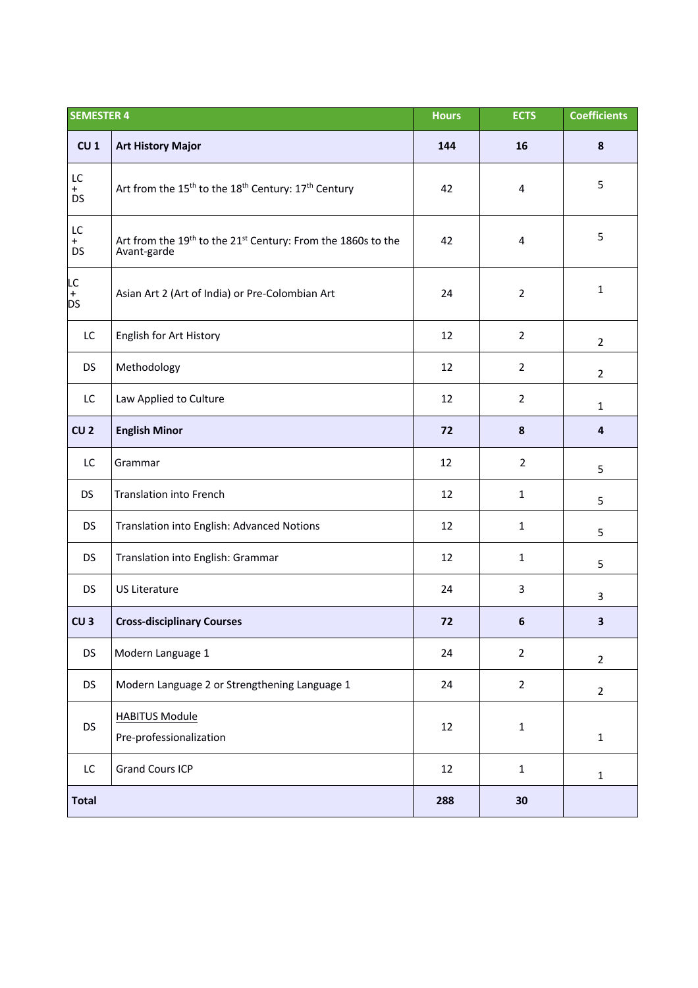| <b>SEMESTER 4</b>      |                                                                                         | <b>Hours</b> | <b>ECTS</b>      | <b>Coefficients</b>     |
|------------------------|-----------------------------------------------------------------------------------------|--------------|------------------|-------------------------|
| CU <sub>1</sub>        | <b>Art History Major</b>                                                                | 144          | 16               | $\pmb{8}$               |
| LC<br>$+$<br><b>DS</b> | Art from the 15 <sup>th</sup> to the 18 <sup>th</sup> Century: 17 <sup>th</sup> Century | 42           | 4                | 5                       |
| LC<br>$+$<br><b>DS</b> | Art from the 19th to the 21st Century: From the 1860s to the<br>Avant-garde             | 42           | 4                | 5                       |
| LC<br>+<br><b>DS</b>   | Asian Art 2 (Art of India) or Pre-Colombian Art                                         | 24           | $\overline{2}$   | $\mathbf{1}$            |
| LC                     | English for Art History                                                                 | 12           | $\overline{2}$   | $\overline{2}$          |
| <b>DS</b>              | Methodology                                                                             | 12           | $\overline{2}$   | $\overline{2}$          |
| LC                     | Law Applied to Culture                                                                  | 12           | $\overline{2}$   | $\mathbf{1}$            |
| CU <sub>2</sub>        | <b>English Minor</b>                                                                    | 72           | 8                | 4                       |
| LC                     | Grammar                                                                                 | 12           | $\overline{2}$   | 5                       |
| <b>DS</b>              | <b>Translation into French</b>                                                          | 12           | $\mathbf{1}$     | 5                       |
| <b>DS</b>              | Translation into English: Advanced Notions                                              | 12           | $\mathbf{1}$     | 5                       |
| <b>DS</b>              | Translation into English: Grammar                                                       | 12           | $\mathbf{1}$     | 5                       |
| <b>DS</b>              | <b>US Literature</b>                                                                    | 24           | 3                | 3                       |
| CU <sub>3</sub>        | <b>Cross-disciplinary Courses</b>                                                       | 72           | $\boldsymbol{6}$ | $\overline{\mathbf{3}}$ |
| <b>DS</b>              | Modern Language 1                                                                       | 24           | $\overline{2}$   | $\overline{2}$          |
| <b>DS</b>              | Modern Language 2 or Strengthening Language 1                                           | 24           | $\overline{2}$   | $\overline{2}$          |
| <b>DS</b>              | <b>HABITUS Module</b><br>Pre-professionalization                                        | 12           | $\mathbf 1$      | $\mathbf 1$             |
| LC                     | <b>Grand Cours ICP</b>                                                                  | 12           | $\mathbf 1$      | $\mathbf{1}$            |
| <b>Total</b>           |                                                                                         | 288          | 30               |                         |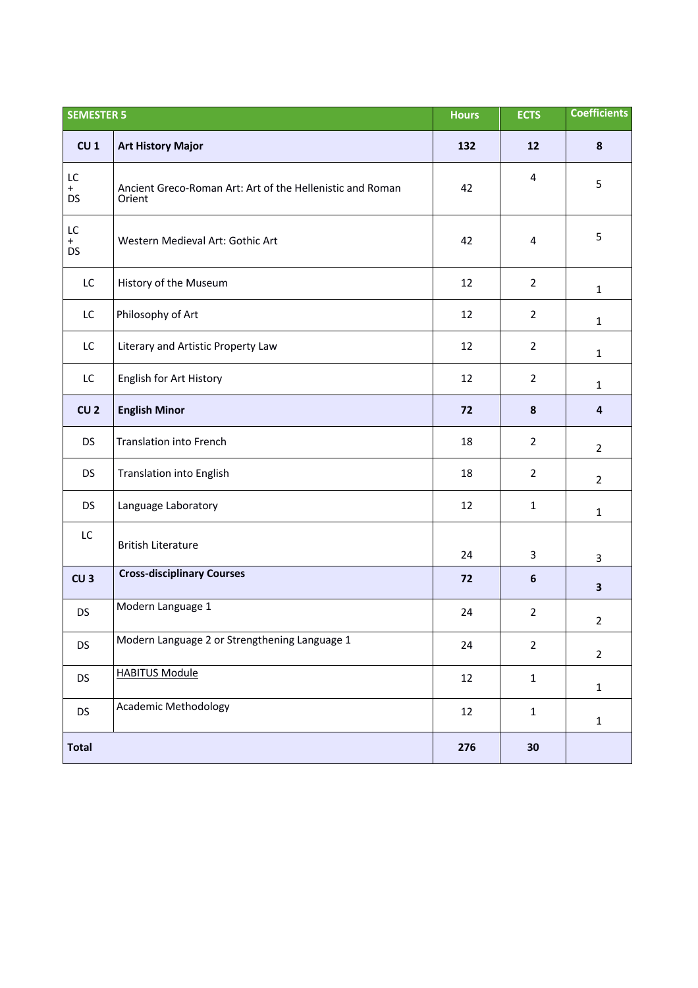| <b>SEMESTER 5</b>      |                                                                     | <b>Hours</b> | <b>ECTS</b>    | <b>Coefficients</b>     |
|------------------------|---------------------------------------------------------------------|--------------|----------------|-------------------------|
| CU <sub>1</sub>        | <b>Art History Major</b>                                            | 132          | 12             | $\pmb{8}$               |
| LC<br>$+$<br><b>DS</b> | Ancient Greco-Roman Art: Art of the Hellenistic and Roman<br>Orient | 42           | 4              | 5                       |
| LC<br>$+$<br><b>DS</b> | Western Medieval Art: Gothic Art                                    | 42           | 4              | 5                       |
| LC                     | History of the Museum                                               | 12           | $\overline{2}$ | $\mathbf{1}$            |
| LC                     | Philosophy of Art                                                   | 12           | $\overline{2}$ | $\mathbf{1}$            |
| LC                     | Literary and Artistic Property Law                                  | 12           | $\overline{2}$ | $\mathbf{1}$            |
| LC                     | English for Art History                                             | 12           | $\overline{2}$ | $\mathbf{1}$            |
| CU <sub>2</sub>        | <b>English Minor</b>                                                | 72           | 8              | $\overline{\mathbf{a}}$ |
| <b>DS</b>              | <b>Translation into French</b>                                      | 18           | $\overline{2}$ | $\overline{2}$          |
| <b>DS</b>              | <b>Translation into English</b>                                     | 18           | $\overline{2}$ | $\overline{2}$          |
| <b>DS</b>              | Language Laboratory                                                 | 12           | $\mathbf{1}$   | $\mathbf{1}$            |
| LC                     | <b>British Literature</b>                                           | 24           | 3              | 3                       |
| CU <sub>3</sub>        | <b>Cross-disciplinary Courses</b>                                   | 72           | 6              | 3                       |
| <b>DS</b>              | Modern Language 1                                                   | 24           | $\overline{2}$ | $\overline{2}$          |
| <b>DS</b>              | Modern Language 2 or Strengthening Language 1                       | 24           | $\overline{2}$ | $\overline{2}$          |
| <b>DS</b>              | <b>HABITUS Module</b>                                               | 12           | $\mathbf{1}$   | $\mathbf{1}$            |
| DS                     | <b>Academic Methodology</b>                                         | 12           | $\mathbf{1}$   | $\mathbf{1}$            |
| <b>Total</b>           |                                                                     | 276          | 30             |                         |